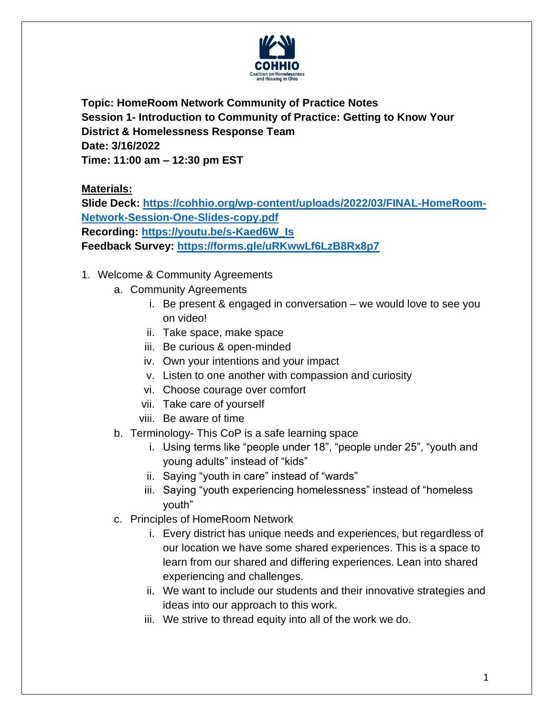

**Topic: HomeRoom Network Community of Practice Notes Session 1- Introduction to Community of Practice: Getting to Know Your District & Homelessness Response Team Date: 3/16/2022 Time: 11:00 am – 12:30 pm EST**

**Materials:**

**Slide Deck: [https://cohhio.org/wp-content/uploads/2022/03/FINAL-HomeRoom-](https://cohhio.org/wp-content/uploads/2022/03/FINAL-HomeRoom-Network-Session-One-Slides-copy.pdf)[Network-Session-One-Slides-copy.pdf](https://cohhio.org/wp-content/uploads/2022/03/FINAL-HomeRoom-Network-Session-One-Slides-copy.pdf) Recording: [https://youtu.be/s-Kaed6W\\_Is](https://youtu.be/s-Kaed6W_Is) Feedback Survey:<https://forms.gle/uRKwwLf6LzB8Rx8p7>**

- 1. Welcome & Community Agreements
	- a. Community Agreements
		- i. Be present & engaged in conversation we would love to see you on video!
		- ii. Take space, make space
		- iii. Be curious & open-minded
		- iv. Own your intentions and your impact
		- v. Listen to one another with compassion and curiosity
		- vi. Choose courage over comfort
		- vii. Take care of yourself
		- viii. Be aware of time
	- b. Terminology- This CoP is a safe learning space
		- i. Using terms like "people under 18", "people under 25", "youth and young adults" instead of "kids"
		- ii. Saying "youth in care" instead of "wards"
		- iii. Saying "youth experiencing homelessness" instead of "homeless youth"
	- c. Principles of HomeRoom Network
		- i. Every district has unique needs and experiences, but regardless of our location we have some shared experiences. This is a space to learn from our shared and differing experiences. Lean into shared experiencing and challenges.
		- ii. We want to include our students and their innovative strategies and ideas into our approach to this work.
		- iii. We strive to thread equity into all of the work we do.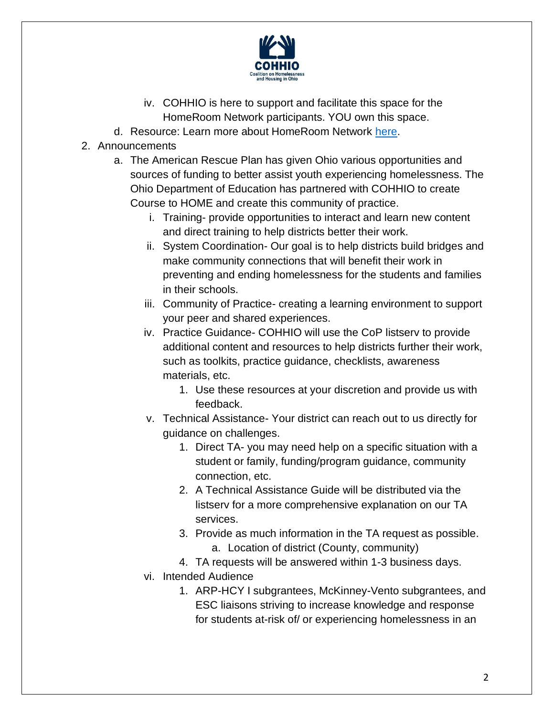

- iv. COHHIO is here to support and facilitate this space for the HomeRoom Network participants. YOU own this space.
- d. Resource: Learn more about HomeRoom Network [here.](https://cohhio.org/wp-content/uploads/2022/03/Guide-to-Community-of-Practice-3.25.2022-2.pdf)
- 2. Announcements
	- a. The American Rescue Plan has given Ohio various opportunities and sources of funding to better assist youth experiencing homelessness. The Ohio Department of Education has partnered with COHHIO to create Course to HOME and create this community of practice.
		- i. Training- provide opportunities to interact and learn new content and direct training to help districts better their work.
		- ii. System Coordination- Our goal is to help districts build bridges and make community connections that will benefit their work in preventing and ending homelessness for the students and families in their schools.
		- iii. Community of Practice- creating a learning environment to support your peer and shared experiences.
		- iv. Practice Guidance- COHHIO will use the CoP listserv to provide additional content and resources to help districts further their work, such as toolkits, practice guidance, checklists, awareness materials, etc.
			- 1. Use these resources at your discretion and provide us with feedback.
		- v. Technical Assistance- Your district can reach out to us directly for guidance on challenges.
			- 1. Direct TA- you may need help on a specific situation with a student or family, funding/program guidance, community connection, etc.
			- 2. A Technical Assistance Guide will be distributed via the listserv for a more comprehensive explanation on our TA services.
			- 3. Provide as much information in the TA request as possible. a. Location of district (County, community)
		- 4. TA requests will be answered within 1-3 business days. vi. Intended Audience
			- - 1. ARP-HCY I subgrantees, McKinney-Vento subgrantees, and ESC liaisons striving to increase knowledge and response for students at-risk of/ or experiencing homelessness in an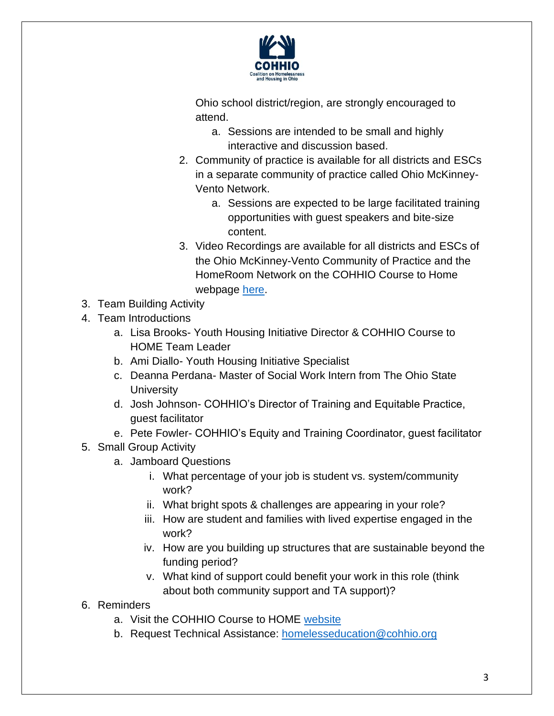

Ohio school district/region, are strongly encouraged to attend.

- a. Sessions are intended to be small and highly interactive and discussion based.
- 2. Community of practice is available for all districts and ESCs in a separate community of practice called Ohio McKinney-Vento Network.
	- a. Sessions are expected to be large facilitated training opportunities with guest speakers and bite-size content.
- 3. Video Recordings are available for all districts and ESCs of the Ohio McKinney-Vento Community of Practice and the HomeRoom Network on the COHHIO Course to Home webpage [here.](https://cohhio.org/programs/youth-initiative/ode-youth-homelessness/)
- 3. Team Building Activity
- 4. Team Introductions
	- a. Lisa Brooks- Youth Housing Initiative Director & COHHIO Course to HOME Team Leader
	- b. Ami Diallo- Youth Housing Initiative Specialist
	- c. Deanna Perdana- Master of Social Work Intern from The Ohio State **University**
	- d. Josh Johnson- COHHIO's Director of Training and Equitable Practice, guest facilitator
	- e. Pete Fowler- COHHIO's Equity and Training Coordinator, guest facilitator
- 5. Small Group Activity
	- a. Jamboard Questions
		- i. What percentage of your job is student vs. system/community work?
		- ii. What bright spots & challenges are appearing in your role?
		- iii. How are student and families with lived expertise engaged in the work?
		- iv. How are you building up structures that are sustainable beyond the funding period?
		- v. What kind of support could benefit your work in this role (think about both community support and TA support)?
- 6. Reminders
	- a. Visit the COHHIO Course to HOME [website](https://cohhio.org/programs/youth-initiative/ode-youth-homelessness/)
	- b. Request Technical Assistance: [homelesseducation@cohhio.org](mailto:homelesseducation@cohhio.org)